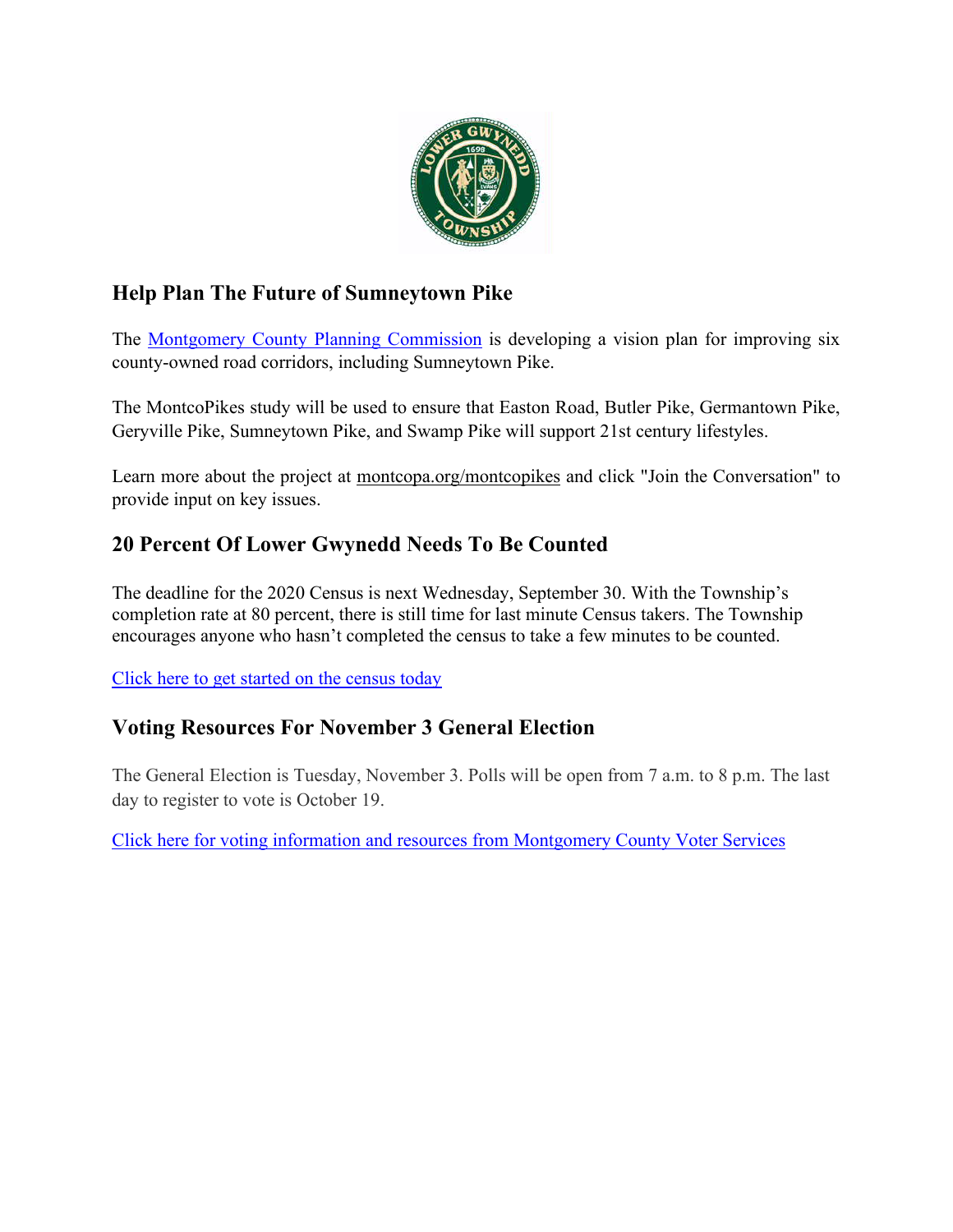

# **Help Plan The Future of Sumneytown Pike**

The [Montgomery County Planning Commission](https://www.montcopa.org/490/Planning-Commission) is developing a vision plan for improving six county-owned road corridors, including Sumneytown Pike.

The MontcoPikes study will be used to ensure that Easton Road, Butler Pike, Germantown Pike, Geryville Pike, Sumneytown Pike, and Swamp Pike will support 21st century lifestyles.

Learn more about the project at [montcopa.org/montcopikes](https://cts.vresp.com/c/?WhitpainTownship/e717433cb9/TEST/7712898818) and click "Join the Conversation" to provide input on key issues.

## **20 Percent Of Lower Gwynedd Needs To Be Counted**

The deadline for the 2020 Census is next Wednesday, September 30. With the Township's completion rate at 80 percent, there is still time for last minute Census takers. The Township encourages anyone who hasn't completed the census to take a few minutes to be counted.

[Click here to get started on the census today](https://2020census.gov/en/news-events/operational-adjustments-covid-19.html)

## **Voting Resources For November 3 General Election**

The General Election is Tuesday, November 3. Polls will be open from 7 a.m. to 8 p.m. The last day to register to vote is October 19.

[Click here for voting information and resources from Montgomery County Voter Services](https://www.montcopa.org/753/Voter-Services)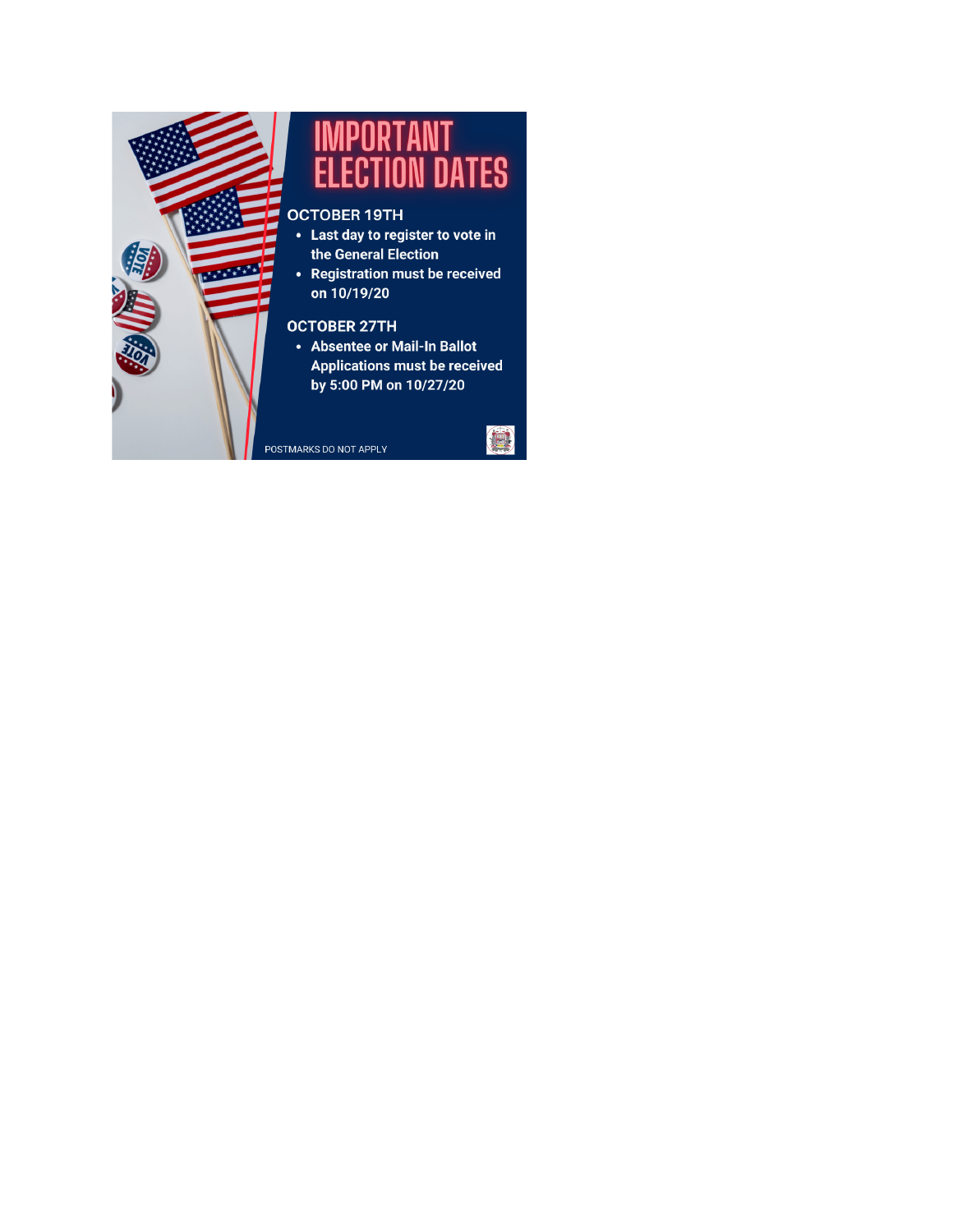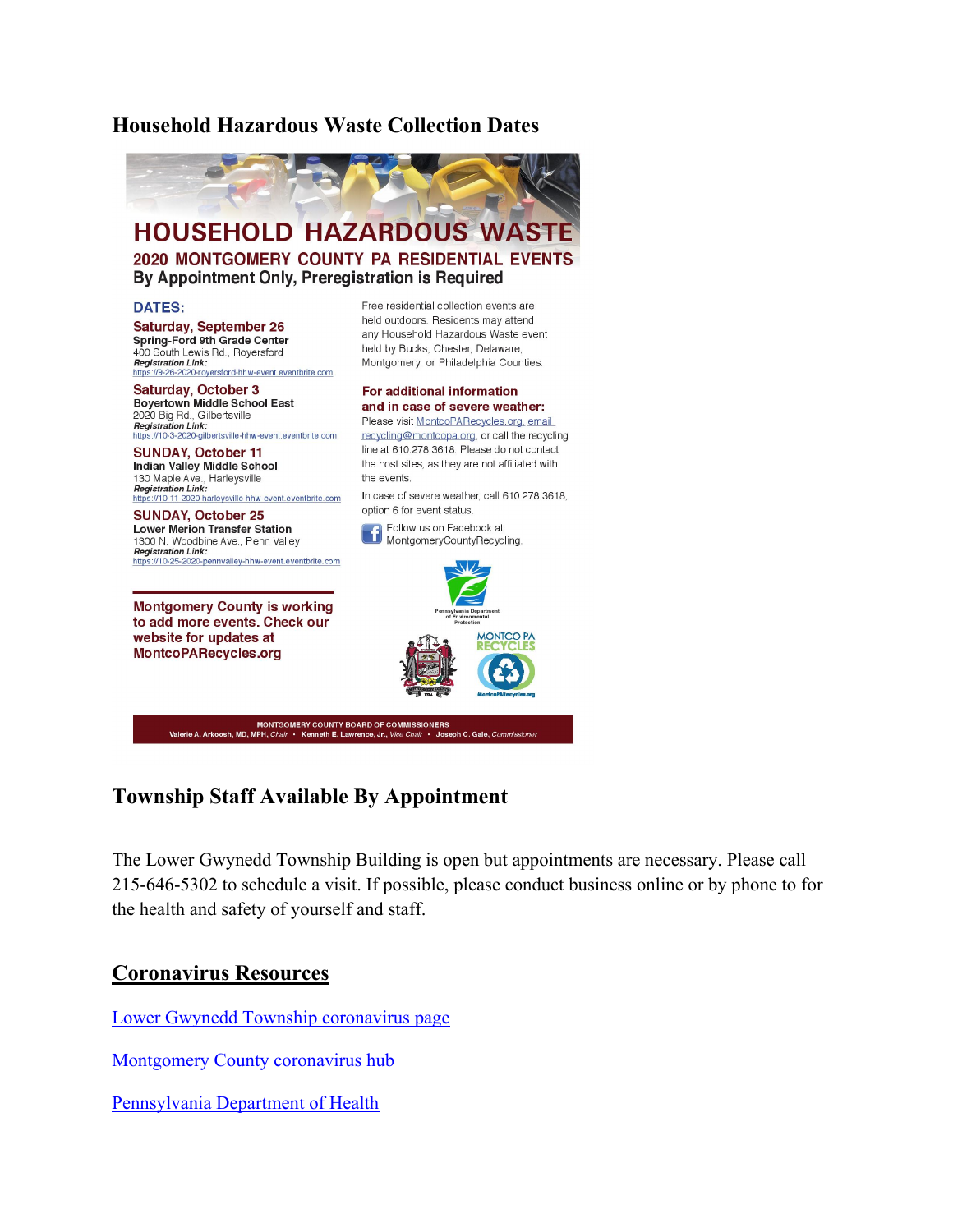### **Household Hazardous Waste Collection Dates**



### **Township Staff Available By Appointment**

The Lower Gwynedd Township Building is open but appointments are necessary. Please call 215-646-5302 to schedule a visit. If possible, please conduct business online or by phone to for the health and safety of yourself and staff.

#### **Coronavirus Resources**

[Lower Gwynedd Township coronavirus page](https://www.lowergwynedd.org/general-information/covid-19-coronavirus.aspx)

[Montgomery County coronavirus hub](https://data-montcopa.opendata.arcgis.com/pages/covid-19)

[Pennsylvania Department of Health](https://www.health.pa.gov/topics/disease/coronavirus/Pages/Coronavirus.aspx)